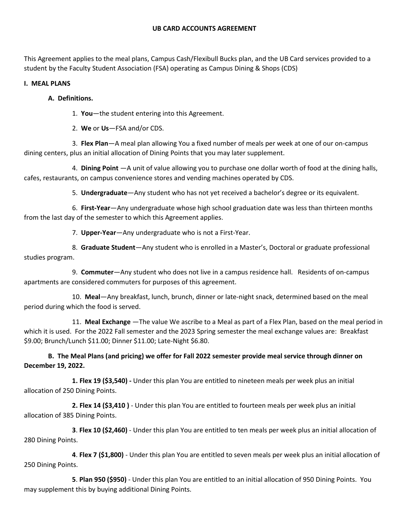This Agreement applies to the meal plans, Campus Cash/Flexibull Bucks plan, and the UB Card services provided to a student by the Faculty Student Association (FSA) operating as Campus Dining & Shops (CDS)

## **I. MEAL PLANS**

## **A. Definitions.**

1. **You**—the student entering into this Agreement.

2. **We** or **Us**—FSA and/or CDS.

3. **Flex Plan**—A meal plan allowing You a fixed number of meals per week at one of our on-campus dining centers, plus an initial allocation of Dining Points that you may later supplement.

4. **Dining Point** —A unit of value allowing you to purchase one dollar worth of food at the dining halls, cafes, restaurants, on campus convenience stores and vending machines operated by CDS.

5. **Undergraduate**—Any student who has not yet received a bachelor's degree or its equivalent.

6. **First-Year**—Any undergraduate whose high school graduation date was less than thirteen months from the last day of the semester to which this Agreement applies.

7. **Upper-Year**—Any undergraduate who is not a First-Year.

8. **Graduate Student**—Any student who is enrolled in a Master's, Doctoral or graduate professional studies program.

9. **Commuter**—Any student who does not live in a campus residence hall. Residents of on-campus apartments are considered commuters for purposes of this agreement.

10. **Meal**—Any breakfast, lunch, brunch, dinner or late-night snack, determined based on the meal period during which the food is served.

11. **Meal Exchange** —The value We ascribe to a Meal as part of a Flex Plan, based on the meal period in which it is used. For the 2022 Fall semester and the 2023 Spring semester the meal exchange values are: Breakfast \$9.00; Brunch/Lunch \$11.00; Dinner \$11.00; Late-Night \$6.80.

**B. The Meal Plans (and pricing) we offer for Fall 2022 semester provide meal service through dinner on December 19, 2022.**

**1. Flex 19 (\$3,540) -** Under this plan You are entitled to nineteen meals per week plus an initial allocation of 250 Dining Points.

**2. Flex 14 (\$3,410 )** - Under this plan You are entitled to fourteen meals per week plus an initial allocation of 385 Dining Points.

**3**. **Flex 10 (\$2,460)** - Under this plan You are entitled to ten meals per week plus an initial allocation of 280 Dining Points.

**4**. **Flex 7 (\$1,800)** - Under this plan You are entitled to seven meals per week plus an initial allocation of 250 Dining Points.

**5**. **Plan 950 (\$950)** - Under this plan You are entitled to an initial allocation of 950 Dining Points. You may supplement this by buying additional Dining Points.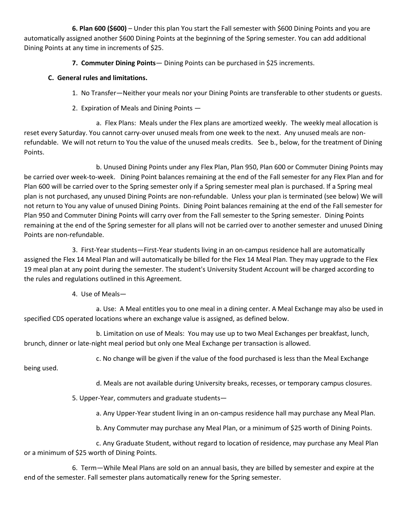**6. Plan 600 (\$600)** – Under this plan You start the Fall semester with \$600 Dining Points and you are automatically assigned another \$600 Dining Points at the beginning of the Spring semester. You can add additional Dining Points at any time in increments of \$25.

**7. Commuter Dining Points**— Dining Points can be purchased in \$25 increments.

## **C. General rules and limitations.**

- 1. No Transfer—Neither your meals nor your Dining Points are transferable to other students or guests.
- 2. Expiration of Meals and Dining Points —

a. Flex Plans: Meals under the Flex plans are amortized weekly. The weekly meal allocation is reset every Saturday. You cannot carry-over unused meals from one week to the next. Any unused meals are nonrefundable. We will not return to You the value of the unused meals credits. See b., below, for the treatment of Dining Points.

b. Unused Dining Points under any Flex Plan, Plan 950, Plan 600 or Commuter Dining Points may be carried over week-to-week. Dining Point balances remaining at the end of the Fall semester for any Flex Plan and for Plan 600 will be carried over to the Spring semester only if a Spring semester meal plan is purchased. If a Spring meal plan is not purchased, any unused Dining Points are non-refundable. Unless your plan is terminated (see below) We will not return to You any value of unused Dining Points. Dining Point balances remaining at the end of the Fall semester for Plan 950 and Commuter Dining Points will carry over from the Fall semester to the Spring semester. Dining Points remaining at the end of the Spring semester for all plans will not be carried over to another semester and unused Dining Points are non-refundable.

3. First-Year students—First-Year students living in an on-campus residence hall are automatically assigned the Flex 14 Meal Plan and will automatically be billed for the Flex 14 Meal Plan. They may upgrade to the Flex 19 meal plan at any point during the semester. The student's University Student Account will be charged according to the rules and regulations outlined in this Agreement.

4. Use of Meals—

a. Use: A Meal entitles you to one meal in a dining center. A Meal Exchange may also be used in specified CDS operated locations where an exchange value is assigned, as defined below.

b. Limitation on use of Meals: You may use up to two Meal Exchanges per breakfast, lunch, brunch, dinner or late-night meal period but only one Meal Exchange per transaction is allowed.

c. No change will be given if the value of the food purchased is less than the Meal Exchange

being used.

d. Meals are not available during University breaks, recesses, or temporary campus closures.

5. Upper-Year, commuters and graduate students—

a. Any Upper-Year student living in an on-campus residence hall may purchase any Meal Plan.

b. Any Commuter may purchase any Meal Plan, or a minimum of \$25 worth of Dining Points.

c. Any Graduate Student, without regard to location of residence, may purchase any Meal Plan or a minimum of \$25 worth of Dining Points.

6. Term—While Meal Plans are sold on an annual basis, they are billed by semester and expire at the end of the semester. Fall semester plans automatically renew for the Spring semester.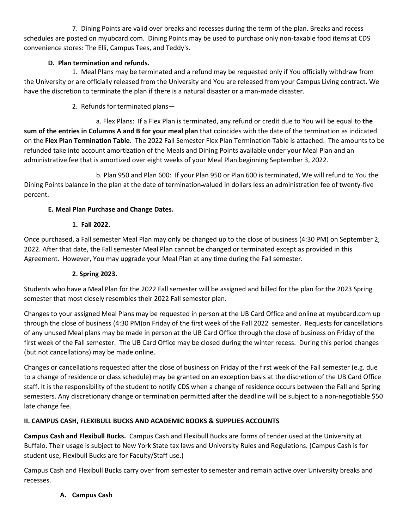7. Dining Points are valid over breaks and recesses during the term of the plan. Breaks and recess schedules are posted on myubcard.com. Dining Points may be used to purchase only non-taxable food items at CDS convenience stores: The Elli, Campus Tees, and Teddy's.

## **D. Plan termination and refunds.**

 1. Meal Plans may be terminated and a refund may be requested only if You officially withdraw from the University or are officially released from the University and You are released from your Campus Living contract. We have the discretion to terminate the plan if there is a natural disaster or a man-made disaster.

2. Refunds for terminated plans—

 a. Flex Plans: If a Flex Plan is terminated, any refund or credit due to You will be equal to **the sum of the entries in Columns A and B for your meal plan** that coincides with the date of the termination as indicated on the **Flex Plan Termination Table**. The 2022 Fall Semester Flex Plan Termination Table is attached. The amounts to be refunded take into account amortization of the Meals and Dining Points available under your Meal Plan and an administrative fee that is amortized over eight weeks of your Meal Plan beginning September 3, 2022.

 b. Plan 950 and Plan 600: If your Plan 950 or Plan 600 is terminated, We will refund to You the Dining Points balance in the plan at the date of termination valued in dollars less an administration fee of twenty-five percent.

# **E. Meal Plan Purchase and Change Dates.**

## **1. Fall 2022.**

Once purchased, a Fall semester Meal Plan may only be changed up to the close of business (4:30 PM) on September 2, 2022. After that date, the Fall semester Meal Plan cannot be changed or terminated except as provided in this Agreement. However, You may upgrade your Meal Plan at any time during the Fall semester.

## **2. Spring 2023.**

Students who have a Meal Plan for the 2022 Fall semester will be assigned and billed for the plan for the 2023 Spring semester that most closely resembles their 2022 Fall semester plan.

Changes to your assigned Meal Plans may be requested in person at the UB Card Office and online at myubcard.com up through the close of business (4:30 PM)on Friday of the first week of the Fall 2022 semester. Requests for cancellations of any unused Meal plans may be made in person at the UB Card Office through the close of business on Friday of the first week of the Fall semester. The UB Card Office may be closed during the winter recess. During this period changes (but not cancellations) may be made online.

Changes or cancellations requested after the close of business on Friday of the first week of the Fall semester (e.g. due to a change of residence or class schedule) may be granted on an exception basis at the discretion of the UB Card Office staff. It is the responsibility of the student to notify CDS when a change of residence occurs between the Fall and Spring semesters. Any discretionary change or termination permitted after the deadline will be subject to a non-negotiable \$50 late change fee.

# **II. CAMPUS CASH, FLEXIBULL BUCKS AND ACADEMIC BOOKS & SUPPLIES ACCOUNTS**

**Campus Cash and Flexibull Bucks.** Campus Cash and Flexibull Bucks are forms of tender used at the University at Buffalo. Their usage is subject to New York State tax laws and University Rules and Regulations. (Campus Cash is for student use, Flexibull Bucks are for Faculty/Staff use.)

Campus Cash and Flexibull Bucks carry over from semester to semester and remain active over University breaks and recesses.

# **A. Campus Cash**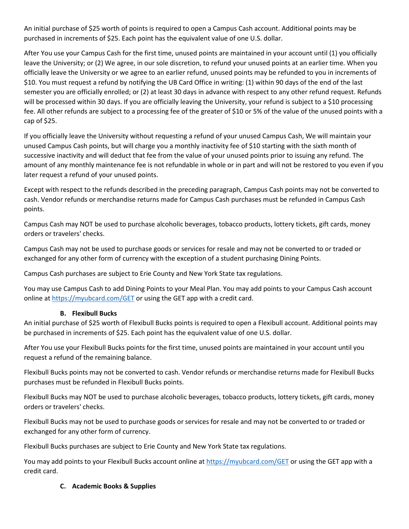An initial purchase of \$25 worth of points is required to open a Campus Cash account. Additional points may be purchased in increments of \$25. Each point has the equivalent value of one U.S. dollar.

After You use your Campus Cash for the first time, unused points are maintained in your account until (1) you officially leave the University; or (2) We agree, in our sole discretion, to refund your unused points at an earlier time. When you officially leave the University or we agree to an earlier refund, unused points may be refunded to you in increments of \$10. You must request a refund by notifying the UB Card Office in writing: (1) within 90 days of the end of the last semester you are officially enrolled; or (2) at least 30 days in advance with respect to any other refund request. Refunds will be processed within 30 days. If you are officially leaving the University, your refund is subject to a \$10 processing fee. All other refunds are subject to a processing fee of the greater of \$10 or 5% of the value of the unused points with a cap of \$25.

If you officially leave the University without requesting a refund of your unused Campus Cash, We will maintain your unused Campus Cash points, but will charge you a monthly inactivity fee of \$10 starting with the sixth month of successive inactivity and will deduct that fee from the value of your unused points prior to issuing any refund. The amount of any monthly maintenance fee is not refundable in whole or in part and will not be restored to you even if you later request a refund of your unused points.

Except with respect to the refunds described in the preceding paragraph, Campus Cash points may not be converted to cash. Vendor refunds or merchandise returns made for Campus Cash purchases must be refunded in Campus Cash points.

Campus Cash may NOT be used to purchase alcoholic beverages, tobacco products, lottery tickets, gift cards, money orders or travelers' checks.

Campus Cash may not be used to purchase goods or services for resale and may not be converted to or traded or exchanged for any other form of currency with the exception of a student purchasing Dining Points.

Campus Cash purchases are subject to Erie County and New York State tax regulations.

You may use Campus Cash to add Dining Points to your Meal Plan. You may add points to your Campus Cash account online at<https://myubcard.com/GET> or using the GET app with a credit card.

# **B. Flexibull Bucks**

An initial purchase of \$25 worth of Flexibull Bucks points is required to open a Flexibull account. Additional points may be purchased in increments of \$25. Each point has the equivalent value of one U.S. dollar.

After You use your Flexibull Bucks points for the first time, unused points are maintained in your account until you request a refund of the remaining balance.

Flexibull Bucks points may not be converted to cash. Vendor refunds or merchandise returns made for Flexibull Bucks purchases must be refunded in Flexibull Bucks points.

Flexibull Bucks may NOT be used to purchase alcoholic beverages, tobacco products, lottery tickets, gift cards, money orders or travelers' checks.

Flexibull Bucks may not be used to purchase goods or services for resale and may not be converted to or traded or exchanged for any other form of currency.

Flexibull Bucks purchases are subject to Erie County and New York State tax regulations.

You may add points to your Flexibull Bucks account online at<https://myubcard.com/GET> or using the GET app with a credit card.

## **C. Academic Books & Supplies**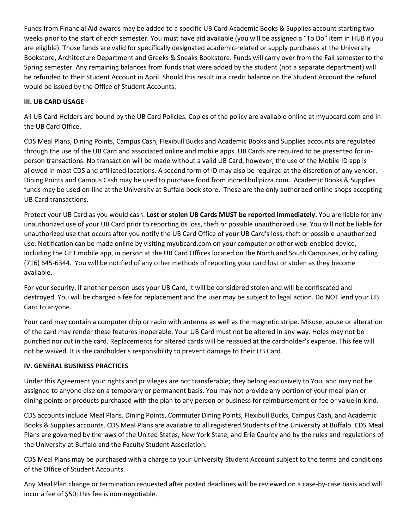Funds from Financial Aid awards may be added to a specific UB Card Academic Books & Supplies account starting two weeks prior to the start of each semester. You must have aid available (you will be assigned a "To Do" item in HUB if you are eligible). Those funds are valid for specifically designated academic-related or supply purchases at the University Bookstore, Architecture Department and Greeks & Sneaks Bookstore. Funds will carry over from the Fall semester to the Spring semester. Any remaining balances from funds that were added by the student (not a separate department) will be refunded to their Student Account in April. Should this result in a credit balance on the Student Account the refund would be issued by the Office of Student Accounts.

## **III. UB CARD USAGE**

All UB Card Holders are bound by the UB Card Policies. Copies of the policy are available online at myubcard.com and in the UB Card Office.

CDS Meal Plans, Dining Points, Campus Cash, Flexibull Bucks and Academic Books and Supplies accounts are regulated through the use of the UB Card and associated online and mobile apps. UB Cards are required to be presented for inperson transactions. No transaction will be made without a valid UB Card, however, the use of the Mobile ID app is allowed in most CDS and affiliated locations. A second form of ID may also be required at the discretion of any vendor. Dining Points and Campus Cash may be used to purchase food from incredibullpizza.com. Academic Books & Supplies funds may be used on-line at the University at Buffalo book store. These are the only authorized online shops accepting UB Card transactions.

Protect your UB Card as you would cash. **Lost or stolen UB Cards MUST be reported immediately.** You are liable for any unauthorized use of your UB Card prior to reporting its loss, theft or possible unauthorized use. You will not be liable for unauthorized use that occurs after you notify the UB Card Office of your UB Card's loss, theft or possible unauthorized use. Notification can be made online by visiting myubcard.com on your computer or other web-enabled device, including the GET mobile app, in person at the UB Card Offices located on the North and South Campuses, or by calling (716) 645-6344. You will be notified of any other methods of reporting your card lost or stolen as they become available.

For your security, if another person uses your UB Card, it will be considered stolen and will be confiscated and destroyed. You will be charged a fee for replacement and the user may be subject to legal action. Do NOT lend your UB Card to anyone.

Your card may contain a computer chip or radio with antenna as well as the magnetic stripe. Misuse, abuse or alteration of the card may render these features inoperable. Your UB Card must not be altered in any way. Holes may not be punched nor cut in the card. Replacements for altered cards will be reissued at the cardholder's expense. This fee will not be waived. It is the cardholder's responsibility to prevent damage to their UB Card.

## **IV. GENERAL BUSINESS PRACTICES**

Under this Agreement your rights and privileges are not transferable; they belong exclusively to You, and may not be assigned to anyone else on a temporary or permanent basis. You may not provide any portion of your meal plan or dining points or products purchased with the plan to any person or business for reimbursement or fee or value in-kind.

CDS accounts include Meal Plans, Dining Points, Commuter Dining Points, Flexibull Bucks, Campus Cash, and Academic Books & Supplies accounts. CDS Meal Plans are available to all registered Students of the University at Buffalo. CDS Meal Plans are governed by the laws of the United States, New York State, and Erie County and by the rules and regulations of the University at Buffalo and the Faculty Student Association.

CDS Meal Plans may be purchased with a charge to your University Student Account subject to the terms and conditions of the Office of Student Accounts.

Any Meal Plan change or termination requested after posted deadlines will be reviewed on a case-by-case basis and will incur a fee of \$50; this fee is non-negotiable.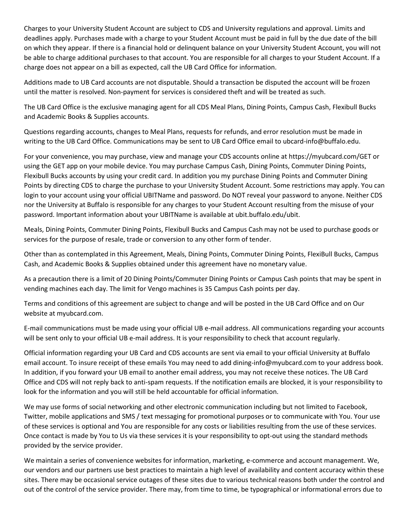Charges to your University Student Account are subject to CDS and University regulations and approval. Limits and deadlines apply. Purchases made with a charge to your Student Account must be paid in full by the due date of the bill on which they appear. If there is a financial hold or delinquent balance on your University Student Account, you will not be able to charge additional purchases to that account. You are responsible for all charges to your Student Account. If a charge does not appear on a bill as expected, call the UB Card Office for information.

Additions made to UB Card accounts are not disputable. Should a transaction be disputed the account will be frozen until the matter is resolved. Non-payment for services is considered theft and will be treated as such.

The UB Card Office is the exclusive managing agent for all CDS Meal Plans, Dining Points, Campus Cash, Flexibull Bucks and Academic Books & Supplies accounts.

Questions regarding accounts, changes to Meal Plans, requests for refunds, and error resolution must be made in writing to the UB Card Office. Communications may be sent to UB Card Office email to ubcard-info@buffalo.edu.

For your convenience, you may purchase, view and manage your CDS accounts online at https://myubcard.com/GET or using the GET app on your mobile device. You may purchase Campus Cash, Dining Points, Commuter Dining Points, Flexibull Bucks accounts by using your credit card. In addition you my purchase Dining Points and Commuter Dining Points by directing CDS to charge the purchase to your University Student Account. Some restrictions may apply. You can login to your account using your official UBITName and password. Do NOT reveal your password to anyone. Neither CDS nor the University at Buffalo is responsible for any charges to your Student Account resulting from the misuse of your password. Important information about your UBITName is available at ubit.buffalo.edu/ubit.

Meals, Dining Points, Commuter Dining Points, Flexibull Bucks and Campus Cash may not be used to purchase goods or services for the purpose of resale, trade or conversion to any other form of tender.

Other than as contemplated in this Agreement, Meals, Dining Points, Commuter Dining Points, FlexiBull Bucks, Campus Cash, and Academic Books & Supplies obtained under this agreement have no monetary value.

As a precaution there is a limit of 20 Dining Points/Commuter Dining Points or Campus Cash points that may be spent in vending machines each day. The limit for Vengo machines is 35 Campus Cash points per day.

Terms and conditions of this agreement are subject to change and will be posted in the UB Card Office and on Our website at myubcard.com.

E-mail communications must be made using your official UB e-mail address. All communications regarding your accounts will be sent only to your official UB e-mail address. It is your responsibility to check that account regularly.

Official information regarding your UB Card and CDS accounts are sent via email to your official University at Buffalo email account. To insure receipt of these emails You may need to add dining-info@myubcard.com to your address book. In addition, if you forward your UB email to another email address, you may not receive these notices. The UB Card Office and CDS will not reply back to anti-spam requests. If the notification emails are blocked, it is your responsibility to look for the information and you will still be held accountable for official information.

We may use forms of social networking and other electronic communication including but not limited to Facebook, Twitter, mobile applications and SMS / text messaging for promotional purposes or to communicate with You. Your use of these services is optional and You are responsible for any costs or liabilities resulting from the use of these services. Once contact is made by You to Us via these services it is your responsibility to opt-out using the standard methods provided by the service provider.

We maintain a series of convenience websites for information, marketing, e-commerce and account management. We, our vendors and our partners use best practices to maintain a high level of availability and content accuracy within these sites. There may be occasional service outages of these sites due to various technical reasons both under the control and out of the control of the service provider. There may, from time to time, be typographical or informational errors due to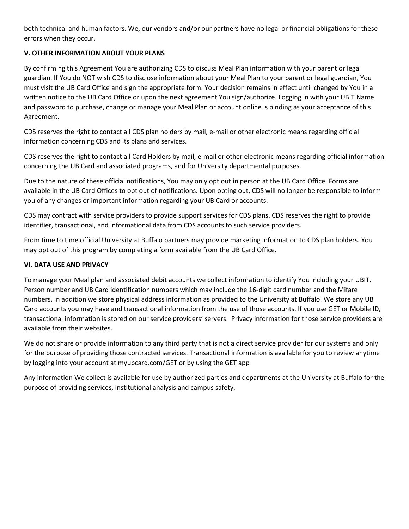both technical and human factors. We, our vendors and/or our partners have no legal or financial obligations for these errors when they occur.

## **V. OTHER INFORMATION ABOUT YOUR PLANS**

By confirming this Agreement You are authorizing CDS to discuss Meal Plan information with your parent or legal guardian. If You do NOT wish CDS to disclose information about your Meal Plan to your parent or legal guardian, You must visit the UB Card Office and sign the appropriate form. Your decision remains in effect until changed by You in a written notice to the UB Card Office or upon the next agreement You sign/authorize. Logging in with your UBIT Name and password to purchase, change or manage your Meal Plan or account online is binding as your acceptance of this Agreement.

CDS reserves the right to contact all CDS plan holders by mail, e-mail or other electronic means regarding official information concerning CDS and its plans and services.

CDS reserves the right to contact all Card Holders by mail, e-mail or other electronic means regarding official information concerning the UB Card and associated programs, and for University departmental purposes.

Due to the nature of these official notifications, You may only opt out in person at the UB Card Office. Forms are available in the UB Card Offices to opt out of notifications. Upon opting out, CDS will no longer be responsible to inform you of any changes or important information regarding your UB Card or accounts.

CDS may contract with service providers to provide support services for CDS plans. CDS reserves the right to provide identifier, transactional, and informational data from CDS accounts to such service providers.

From time to time official University at Buffalo partners may provide marketing information to CDS plan holders. You may opt out of this program by completing a form available from the UB Card Office.

## **VI. DATA USE AND PRIVACY**

To manage your Meal plan and associated debit accounts we collect information to identify You including your UBIT, Person number and UB Card identification numbers which may include the 16-digit card number and the Mifare numbers. In addition we store physical address information as provided to the University at Buffalo. We store any UB Card accounts you may have and transactional information from the use of those accounts. If you use GET or Mobile ID, transactional information is stored on our service providers' servers. Privacy information for those service providers are available from their websites.

We do not share or provide information to any third party that is not a direct service provider for our systems and only for the purpose of providing those contracted services. Transactional information is available for you to review anytime by logging into your account at myubcard.com/GET or by using the GET app

Any information We collect is available for use by authorized parties and departments at the University at Buffalo for the purpose of providing services, institutional analysis and campus safety.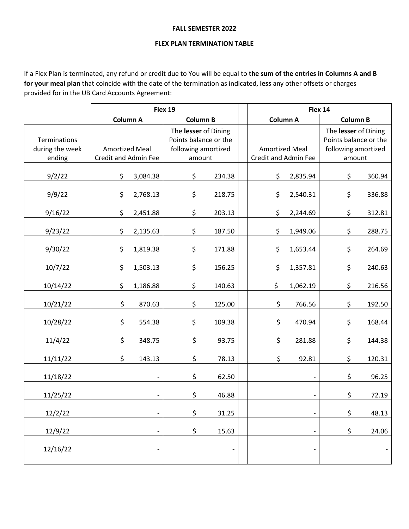#### **FALL SEMESTER 2022**

#### **FLEX PLAN TERMINATION TABLE**

If a Flex Plan is terminated, any refund or credit due to You will be equal to **the sum of the entries in Columns A and B for your meal plan** that coincide with the date of the termination as indicated, **less** any other offsets or charges provided for in the UB Card Accounts Agreement:

|                                           | Flex 19                                       |                          |                                                                                |                 |  | Flex 14                                              |                          |                                                                                |        |
|-------------------------------------------|-----------------------------------------------|--------------------------|--------------------------------------------------------------------------------|-----------------|--|------------------------------------------------------|--------------------------|--------------------------------------------------------------------------------|--------|
|                                           |                                               | Column A                 |                                                                                | <b>Column B</b> |  | <b>Column A</b>                                      |                          | <b>Column B</b>                                                                |        |
| Terminations<br>during the week<br>ending | <b>Amortized Meal</b><br>Credit and Admin Fee |                          | The lesser of Dining<br>Points balance or the<br>following amortized<br>amount |                 |  | <b>Amortized Meal</b><br><b>Credit and Admin Fee</b> |                          | The lesser of Dining<br>Points balance or the<br>following amortized<br>amount |        |
| 9/2/22                                    | \$                                            | 3,084.38                 | \$                                                                             | 234.38          |  | \$                                                   | 2,835.94                 | \$                                                                             | 360.94 |
| 9/9/22                                    | \$                                            | 2,768.13                 | \$                                                                             | 218.75          |  | \$                                                   | 2,540.31                 | \$                                                                             | 336.88 |
| 9/16/22                                   | \$                                            | 2,451.88                 | \$                                                                             | 203.13          |  | \$                                                   | 2,244.69                 | \$                                                                             | 312.81 |
| 9/23/22                                   | \$                                            | 2,135.63                 | \$                                                                             | 187.50          |  | \$                                                   | 1,949.06                 | \$                                                                             | 288.75 |
| 9/30/22                                   | \$                                            | 1,819.38                 | \$                                                                             | 171.88          |  | \$                                                   | 1,653.44                 | \$                                                                             | 264.69 |
| 10/7/22                                   | \$                                            | 1,503.13                 | \$                                                                             | 156.25          |  | \$                                                   | 1,357.81                 | \$                                                                             | 240.63 |
| 10/14/22                                  | \$                                            | 1,186.88                 | \$                                                                             | 140.63          |  | \$                                                   | 1,062.19                 | \$                                                                             | 216.56 |
| 10/21/22                                  | \$                                            | 870.63                   | \$                                                                             | 125.00          |  | \$                                                   | 766.56                   | \$                                                                             | 192.50 |
| 10/28/22                                  | \$                                            | 554.38                   | \$                                                                             | 109.38          |  | \$                                                   | 470.94                   | \$                                                                             | 168.44 |
| 11/4/22                                   | \$                                            | 348.75                   | \$                                                                             | 93.75           |  | \$                                                   | 281.88                   | \$                                                                             | 144.38 |
| 11/11/22                                  | \$                                            | 143.13                   | \$                                                                             | 78.13           |  | \$                                                   | 92.81                    | \$                                                                             | 120.31 |
| 11/18/22                                  |                                               | -                        | \$                                                                             | 62.50           |  |                                                      | $\qquad \qquad -$        | \$                                                                             | 96.25  |
| 11/25/22                                  |                                               |                          | \$                                                                             | 46.88           |  |                                                      |                          | \$                                                                             | 72.19  |
| 12/2/22                                   |                                               |                          | \$                                                                             | 31.25           |  |                                                      |                          | \$                                                                             | 48.13  |
| 12/9/22                                   |                                               | $\overline{\phantom{0}}$ | \$                                                                             | 15.63           |  |                                                      |                          | \$                                                                             | 24.06  |
| 12/16/22                                  |                                               | $\qquad \qquad -$        |                                                                                |                 |  |                                                      | $\overline{\phantom{a}}$ |                                                                                |        |
|                                           |                                               |                          |                                                                                |                 |  |                                                      |                          |                                                                                |        |